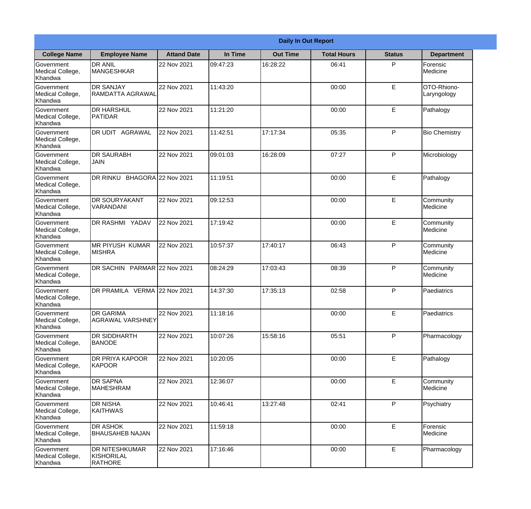|                                                  | <b>Daily In Out Report</b>                            |                    |          |                 |                    |               |                            |  |
|--------------------------------------------------|-------------------------------------------------------|--------------------|----------|-----------------|--------------------|---------------|----------------------------|--|
| <b>College Name</b>                              | <b>Employee Name</b>                                  | <b>Attand Date</b> | In Time  | <b>Out Time</b> | <b>Total Hours</b> | <b>Status</b> | <b>Department</b>          |  |
| Government<br>Medical College,<br>Khandwa        | <b>DR ANIL</b><br><b>MANGESHKAR</b>                   | 22 Nov 2021        | 09:47:23 | 16:28:22        | 06:41              | P             | Forensic<br>Medicine       |  |
| Government<br>Medical College,<br>Khandwa        | <b>DR SANJAY</b><br>RAMDATTA AGRAWAL                  | 22 Nov 2021        | 11:43:20 |                 | 00:00              | $\mathsf E$   | OTO-Rhiono-<br>Laryngology |  |
| <b>Government</b><br>Medical College,<br>Khandwa | <b>DR HARSHUL</b><br><b>PATIDAR</b>                   | 22 Nov 2021        | 11:21:20 |                 | 00:00              | E             | Pathalogy                  |  |
| <b>Government</b><br>Medical College,<br>Khandwa | DR UDIT AGRAWAL                                       | 22 Nov 2021        | 11:42:51 | 17:17:34        | 05:35              | P             | <b>Bio Chemistry</b>       |  |
| Government<br>Medical College,<br>Khandwa        | <b>DR SAURABH</b><br><b>JAIN</b>                      | 22 Nov 2021        | 09:01:03 | 16:28:09        | 07:27              | P             | Microbiology               |  |
| Government<br>Medical College,<br>Khandwa        | DR RINKU BHAGORA 22 Nov 2021                          |                    | 11:19:51 |                 | 00:00              | E             | Pathalogy                  |  |
| <b>Government</b><br>Medical College,<br>Khandwa | <b>DR SOURYAKANT</b><br>VARANDANI                     | 22 Nov 2021        | 09:12:53 |                 | 00:00              | E             | Community<br>Medicine      |  |
| <b>Government</b><br>Medical College,<br>Khandwa | DR RASHMI YADAV                                       | 22 Nov 2021        | 17:19:42 |                 | 00:00              | E             | Community<br>Medicine      |  |
| Government<br>Medical College,<br>Khandwa        | <b>MR PIYUSH KUMAR</b><br><b>MISHRA</b>               | 22 Nov 2021        | 10:57:37 | 17:40:17        | 06:43              | P             | Community<br>Medicine      |  |
| Government<br>Medical College,<br>Khandwa        | DR SACHIN PARMAR 22 Nov 2021                          |                    | 08:24:29 | 17:03:43        | 08:39              | P             | Community<br>Medicine      |  |
| Government<br>Medical College,<br>Khandwa        | DR PRAMILA VERMA 22 Nov 2021                          |                    | 14:37:30 | 17:35:13        | 02:58              | P             | Paediatrics                |  |
| Government<br>Medical College,<br>Khandwa        | <b>IDR GARIMA</b><br>AGRAWAL VARSHNEY                 | 22 Nov 2021        | 11:18:16 |                 | 00:00              | E             | Paediatrics                |  |
| Government<br>Medical College,<br>Khandwa        | <b>DR SIDDHARTH</b><br><b>BANODE</b>                  | 22 Nov 2021        | 10:07:26 | 15:58:16        | 05:51              | P             | Pharmacology               |  |
| Government<br>Medical College,<br>Khandwa        | <b>DR PRIYA KAPOOR</b><br>KAPOOR                      | 22 Nov 2021        | 10:20:05 |                 | 00:00              | $\mathsf E$   | Pathalogy                  |  |
| <b>Government</b><br>Medical College,<br>Khandwa | <b>DR SAPNA</b><br><b>MAHESHRAM</b>                   | 22 Nov 2021        | 12:36:07 |                 | 00:00              | E             | Community<br>Medicine      |  |
| Government<br>Medical College,<br>Khandwa        | <b>DR NISHA</b><br><b>KAITHWAS</b>                    | 22 Nov 2021        | 10:46:41 | 13:27:48        | 02:41              | P             | Psychiatry                 |  |
| Government<br>Medical College,<br>Khandwa        | <b>DR ASHOK</b><br><b>BHAUSAHEB NAJAN</b>             | 22 Nov 2021        | 11:59:18 |                 | 00:00              | $\mathsf E$   | Forensic<br>Medicine       |  |
| Government<br>Medical College,<br>Khandwa        | <b>DR NITESHKUMAR</b><br>KISHORILAL<br><b>RATHORE</b> | 22 Nov 2021        | 17:16:46 |                 | 00:00              | $\mathsf E$   | Pharmacology               |  |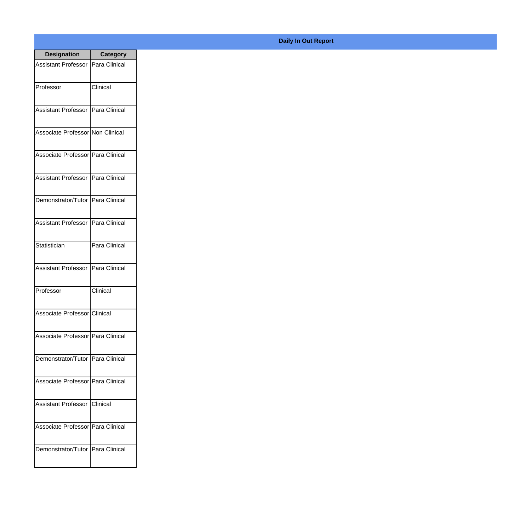| <b>Designation</b>                  | <b>Category</b> |
|-------------------------------------|-----------------|
| Assistant Professor   Para Clinical |                 |
| Professor                           | Clinical        |
| Assistant Professor Para Clinical   |                 |
| Associate Professor Non Clinical    |                 |
| Associate Professor   Para Clinical |                 |
| Assistant Professor   Para Clinical |                 |
| Demonstrator/Tutor   Para Clinical  |                 |
| Assistant Professor   Para Clinical |                 |
| Statistician                        | Para Clinical   |
| <b>Assistant Professor</b>          | Para Clinical   |
| Professor                           | Clinical        |
| Associate Professor Clinical        |                 |
| Associate Professor Para Clinical   |                 |
| Demonstrator/Tutor   Para Clinical  |                 |
| Associate Professor Para Clinical   |                 |
| <b>Assistant Professor</b>          | Clinical        |
| Associate Professor   Para Clinical |                 |
| Demonstrator/Tutor   Para Clinical  |                 |

## **Daily In Out Report**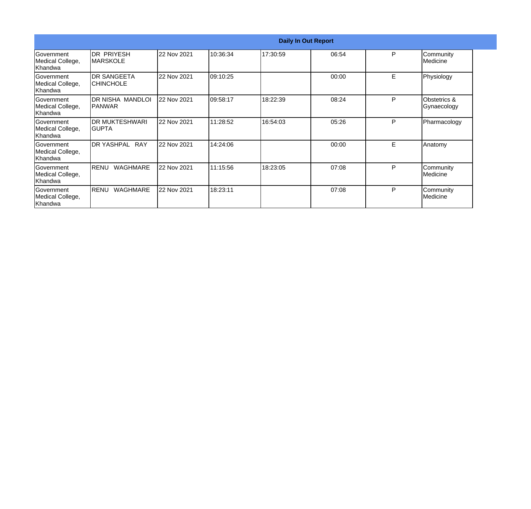|                                                  | <b>Daily In Out Report</b>              |             |          |          |       |   |                             |  |
|--------------------------------------------------|-----------------------------------------|-------------|----------|----------|-------|---|-----------------------------|--|
| Government<br>Medical College,<br>Khandwa        | <b>DR PRIYESH</b><br><b>IMARSKOLE</b>   | 22 Nov 2021 | 10:36:34 | 17:30:59 | 06:54 | P | Community<br>Medicine       |  |
| <b>Sovernment</b><br>Medical College,<br>Khandwa | <b>IDR SANGEETA</b><br><b>CHINCHOLE</b> | 22 Nov 2021 | 09:10:25 |          | 00:00 | E | Physiology                  |  |
| Government<br>Medical College,<br>Khandwa        | DR NISHA MANDLOI<br>IPANWAR             | 22 Nov 2021 | 09:58:17 | 18:22:39 | 08:24 | P | Obstetrics &<br>Gynaecology |  |
| Government<br>Medical College,<br>Khandwa        | <b>DR MUKTESHWARI</b><br>IGUPTA         | 22 Nov 2021 | 11:28:52 | 16:54:03 | 05:26 | P | Pharmacology                |  |
| Government<br>Medical College,<br>Khandwa        | <b>DR YASHPAL</b><br><b>RAY</b>         | 22 Nov 2021 | 14:24:06 |          | 00:00 | E | Anatomy                     |  |
| Government<br>Medical College,<br>Khandwa        | <b>WAGHMARE</b><br>RENU                 | 22 Nov 2021 | 11:15:56 | 18:23:05 | 07:08 | P | Community<br>lMedicine      |  |
| <b>Sovernment</b><br>Medical College,<br>Khandwa | <b>WAGHMARE</b><br>RENU                 | 22 Nov 2021 | 18:23:11 |          | 07:08 | P | Community<br>Medicine       |  |